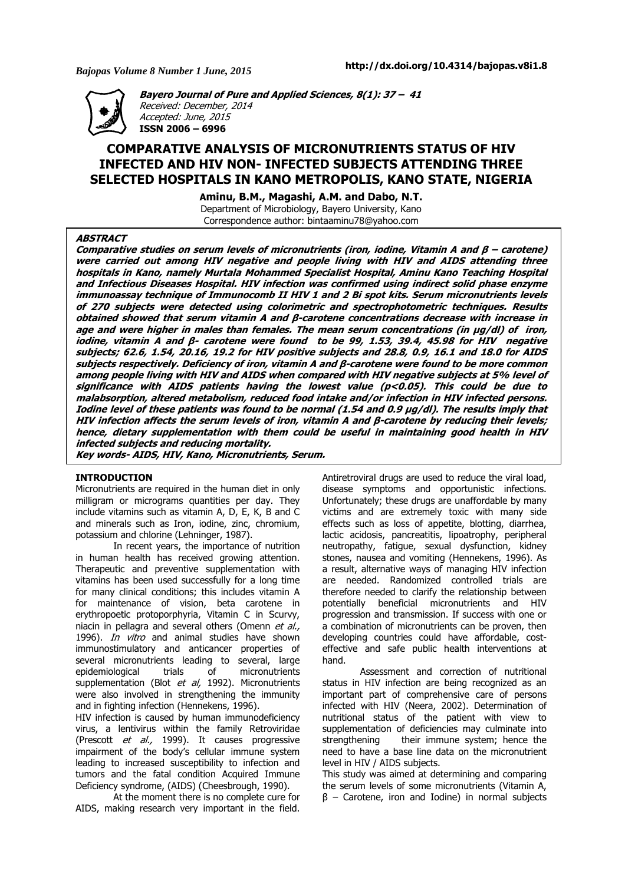

**Bayero Journal of Pure and Applied Sciences, 8(1): 37 – 41**  Received: December, 2014 Accepted: June, 2015 **ISSN 2006 – 6996** 

# **COMPARATIVE ANALYSIS OF MICRONUTRIENTS STATUS OF HIV INFECTED AND HIV NON- INFECTED SUBJECTS ATTENDING THREE SELECTED HOSPITALS IN KANO METROPOLIS, KANO STATE, NIGERIA**

**Aminu, B.M., Magashi, A.M. and Dabo, N.T.** 

Department of Microbiology, Bayero University, Kano Correspondence author: bintaaminu78@yahoo.com

### **ABSTRACT**

**Comparative studies on serum levels of micronutrients (iron, iodine, Vitamin A and β – carotene) were carried out among HIV negative and people living with HIV and AIDS attending three hospitals in Kano, namely Murtala Mohammed Specialist Hospital, Aminu Kano Teaching Hospital and Infectious Diseases Hospital. HIV infection was confirmed using indirect solid phase enzyme immunoassay technique of Immunocomb II HIV 1 and 2 Bi spot kits. Serum micronutrients levels of 270 subjects were detected using colorimetric and spectrophotometric techniques. Results obtained showed that serum vitamin A and β-carotene concentrations decrease with increase in age and were higher in males than females. The mean serum concentrations (in µg/dl) of iron, iodine, vitamin A and β- carotene were found to be 99, 1.53, 39.4, 45.98 for HIV negative subjects; 62.6, 1.54, 20.16, 19.2 for HIV positive subjects and 28.8, 0.9, 16.1 and 18.0 for AIDS subjects respectively. Deficiency of iron, vitamin A and β-carotene were found to be more common among people living with HIV and AIDS when compared with HIV negative subjects at 5% level of**  significance with AIDS patients having the lowest value (p<0.05). This could be due to **malabsorption, altered metabolism, reduced food intake and/or infection in HIV infected persons. Iodine level of these patients was found to be normal (1.54 and 0.9 µg/dl). The results imply that HIV infection affects the serum levels of iron, vitamin A and β-carotene by reducing their levels; hence, dietary supplementation with them could be useful in maintaining good health in HIV infected subjects and reducing mortality.** 

**Key words- AIDS, HIV, Kano, Micronutrients, Serum.** 

# **INTRODUCTION**

Micronutrients are required in the human diet in only milligram or micrograms quantities per day. They include vitamins such as vitamin A, D, E, K, B and C and minerals such as Iron, iodine, zinc, chromium, potassium and chlorine (Lehninger, 1987).

In recent years, the importance of nutrition in human health has received growing attention. Therapeutic and preventive supplementation with vitamins has been used successfully for a long time for many clinical conditions; this includes vitamin A for maintenance of vision, beta carotene in erythropoetic protoporphyria, Vitamin C in Scurvy, niacin in pellagra and several others (Omenn et al., 1996). *In vitro* and animal studies have shown immunostimulatory and anticancer properties of several micronutrients leading to several, large epidemiological trials of micronutrients supplementation (Blot et al, 1992). Micronutrients were also involved in strengthening the immunity and in fighting infection (Hennekens, 1996).

HIV infection is caused by human immunodeficiency virus, a lentivirus within the family Retroviridae (Prescott *et al.,* 1999). It causes progressive impairment of the body's cellular immune system leading to increased susceptibility to infection and tumors and the fatal condition Acquired Immune Deficiency syndrome, (AIDS) (Cheesbrough, 1990).

At the moment there is no complete cure for AIDS, making research very important in the field.

Antiretroviral drugs are used to reduce the viral load, disease symptoms and opportunistic infections. Unfortunately; these drugs are unaffordable by many victims and are extremely toxic with many side effects such as loss of appetite, blotting, diarrhea, lactic acidosis, pancreatitis, lipoatrophy, peripheral neutropathy, fatigue, sexual dysfunction, kidney stones, nausea and vomiting (Hennekens, 1996). As a result, alternative ways of managing HIV infection are needed. Randomized controlled trials are therefore needed to clarify the relationship between potentially beneficial micronutrients and HIV progression and transmission. If success with one or a combination of micronutrients can be proven, then developing countries could have affordable, costeffective and safe public health interventions at hand.

Assessment and correction of nutritional status in HIV infection are being recognized as an important part of comprehensive care of persons infected with HIV (Neera, 2002). Determination of nutritional status of the patient with view to supplementation of deficiencies may culminate into strengthening their immune system; hence the need to have a base line data on the micronutrient level in HIV / AIDS subjects.

This study was aimed at determining and comparing the serum levels of some micronutrients (Vitamin A,  $β$  – Carotene, iron and Iodine) in normal subjects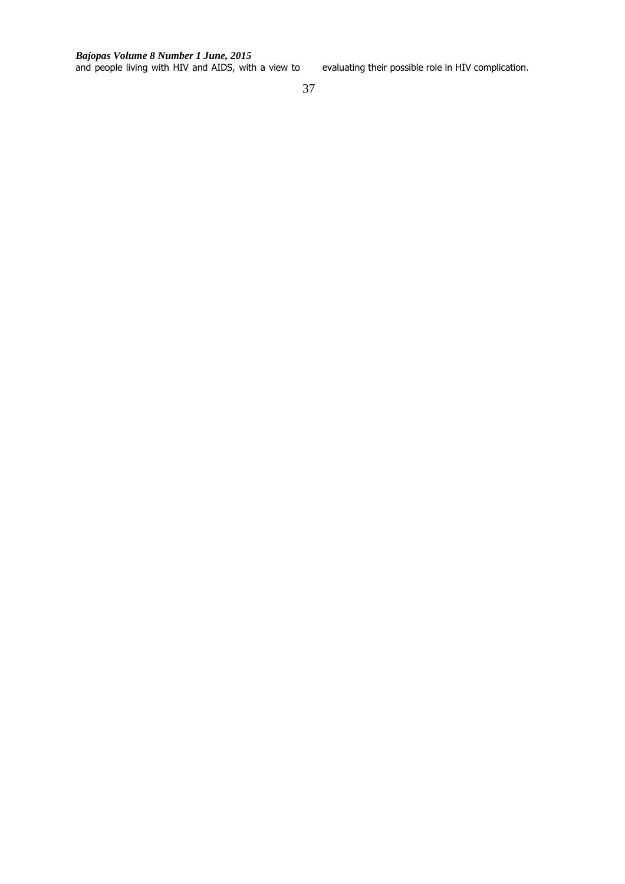and people living with HIV and AIDS, with a view to evaluating their possible role in HIV complication.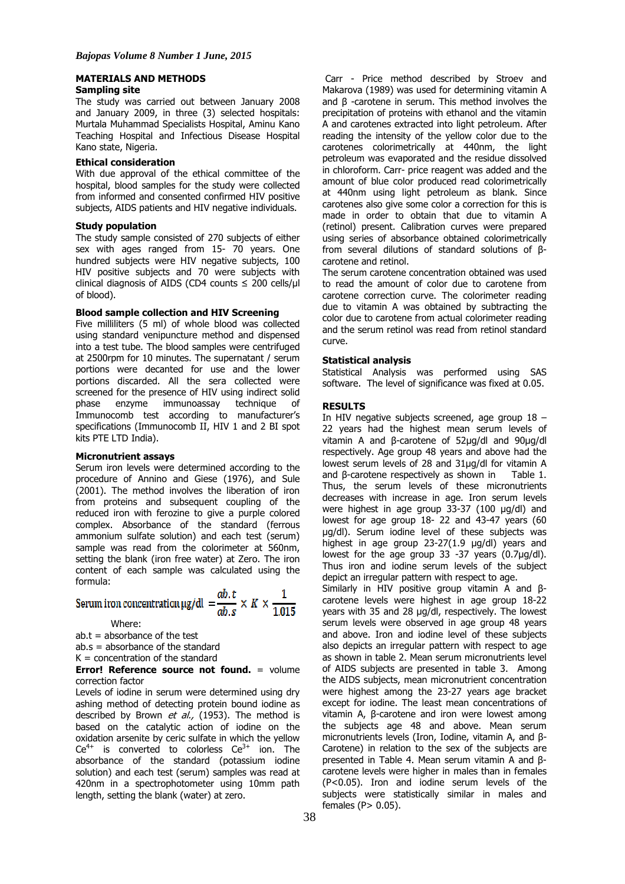#### **MATERIALS AND METHODS**

### **Sampling site**

The study was carried out between January 2008 and January 2009, in three (3) selected hospitals: Murtala Muhammad Specialists Hospital, Aminu Kano Teaching Hospital and Infectious Disease Hospital Kano state, Nigeria.

### **Ethical consideration**

With due approval of the ethical committee of the hospital, blood samples for the study were collected from informed and consented confirmed HIV positive subjects, AIDS patients and HIV negative individuals.

### **Study population**

The study sample consisted of 270 subjects of either sex with ages ranged from 15- 70 years. One hundred subjects were HIV negative subjects, 100 HIV positive subjects and 70 were subjects with clinical diagnosis of AIDS (CD4 counts  $\leq$  200 cells/ul of blood).

### **Blood sample collection and HIV Screening**

Five milliliters (5 ml) of whole blood was collected using standard venipuncture method and dispensed into a test tube. The blood samples were centrifuged at 2500rpm for 10 minutes. The supernatant / serum portions were decanted for use and the lower portions discarded. All the sera collected were screened for the presence of HIV using indirect solid phase enzyme immunoassay technique of Immunocomb test according to manufacturer's specifications (Immunocomb II, HIV 1 and 2 BI spot kits PTE LTD India).

### **Micronutrient assays**

Serum iron levels were determined according to the procedure of Annino and Giese (1976), and Sule (2001). The method involves the liberation of iron from proteins and subsequent coupling of the reduced iron with ferozine to give a purple colored complex. Absorbance of the standard (ferrous ammonium sulfate solution) and each test (serum) sample was read from the colorimeter at 560nm, setting the blank (iron free water) at Zero. The iron content of each sample was calculated using the formula:

# Serum iron concentration  $\mu$ g/dl =  $\frac{ab \cdot t}{ab \cdot s} \times K \times \frac{1}{1.015}$

Where:

 $ab.t = absorbance of the test$ 

ab.s = absorbance of the standard

# $K =$  concentration of the standard

**Error! Reference source not found.** = volume correction factor

Levels of iodine in serum were determined using dry ashing method of detecting protein bound iodine as described by Brown et al.,  $(1953)$ . The method is based on the catalytic action of iodine on the oxidation arsenite by ceric sulfate in which the yellow  $Ce^{4+}$  is converted to colorless  $Ce^{3+}$  ion. The absorbance of the standard (potassium iodine solution) and each test (serum) samples was read at 420nm in a spectrophotometer using 10mm path length, setting the blank (water) at zero.

 Carr - Price method described by Stroev and Makarova (1989) was used for determining vitamin A and β -carotene in serum. This method involves the precipitation of proteins with ethanol and the vitamin A and carotenes extracted into light petroleum. After reading the intensity of the yellow color due to the carotenes colorimetrically at 440nm, the light petroleum was evaporated and the residue dissolved in chloroform. Carr- price reagent was added and the amount of blue color produced read colorimetrically at 440nm using light petroleum as blank. Since carotenes also give some color a correction for this is made in order to obtain that due to vitamin A (retinol) present. Calibration curves were prepared using series of absorbance obtained colorimetrically from several dilutions of standard solutions of βcarotene and retinol.

The serum carotene concentration obtained was used to read the amount of color due to carotene from carotene correction curve. The colorimeter reading due to vitamin A was obtained by subtracting the color due to carotene from actual colorimeter reading and the serum retinol was read from retinol standard curve.

## **Statistical analysis**

Statistical Analysis was performed using SAS software. The level of significance was fixed at 0.05.

### **RESULTS**

In HIV negative subjects screened, age group 18 – 22 years had the highest mean serum levels of vitamin A and β-carotene of 52µg/dl and 90µg/dl respectively. Age group 48 years and above had the lowest serum levels of 28 and 31µg/dl for vitamin A and β-carotene respectively as shown in Table 1. Thus, the serum levels of these micronutrients decreases with increase in age. Iron serum levels were highest in age group 33-37 (100 µg/dl) and lowest for age group 18- 22 and 43-47 years (60 µg/dl). Serum iodine level of these subjects was highest in age group 23-27(1.9 µg/dl) years and lowest for the age group 33 -37 years (0.7µg/dl). Thus iron and iodine serum levels of the subject depict an irregular pattern with respect to age.

Similarly in HIV positive group vitamin A and βcarotene levels were highest in age group 18-22 years with 35 and 28 µg/dl, respectively. The lowest serum levels were observed in age group 48 years and above. Iron and iodine level of these subjects also depicts an irregular pattern with respect to age as shown in table 2. Mean serum micronutrients level of AIDS subjects are presented in table 3. Among the AIDS subjects, mean micronutrient concentration were highest among the 23-27 years age bracket except for iodine. The least mean concentrations of vitamin A, β-carotene and iron were lowest among the subjects age 48 and above. Mean serum micronutrients levels (Iron, Iodine, vitamin A, and β-Carotene) in relation to the sex of the subjects are presented in Table 4. Mean serum vitamin A and βcarotene levels were higher in males than in females (P<0.05). Iron and iodine serum levels of the subjects were statistically similar in males and females  $(P> 0.05)$ .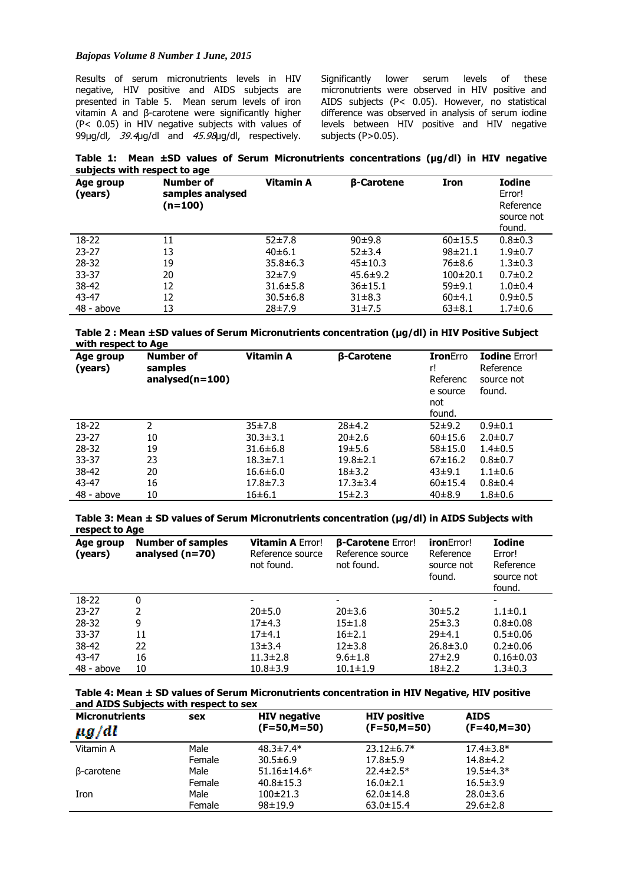Results of serum micronutrients levels in HIV negative, HIV positive and AIDS subjects are presented in Table 5. Mean serum levels of iron vitamin A and β-carotene were significantly higher (P< 0.05) in HIV negative subjects with values of 99µg/dl, 39.4µg/dl and 45.98µg/dl, respectively.

Significantly lower serum levels of these micronutrients were observed in HIV positive and AIDS subjects (P< 0.05). However, no statistical difference was observed in analysis of serum iodine levels between HIV positive and HIV negative subjects (P>0.05).

**Table 1: Mean ±SD values of Serum Micronutrients concentrations (µg/dl) in HIV negative subjects with respect to age** 

| Age group<br>(years) | <b>Number of</b><br>samples analysed<br>(n=100) | Vitamin A      | <b>B-Carotene</b> | <b>Iron</b>   | <b>Iodine</b><br>Error!<br>Reference<br>source not<br>found. |
|----------------------|-------------------------------------------------|----------------|-------------------|---------------|--------------------------------------------------------------|
| $18-22$              | 11                                              | 52±7.8         | 90±9.8            | 60±15.5       | $0.8 \pm 0.3$                                                |
| $23 - 27$            | 13                                              | 40±6.1         | $52\pm3.4$        | $98 \pm 21.1$ | $1.9 + 0.7$                                                  |
| $28 - 32$            | 19                                              | $35.8 \pm 6.3$ | $45 \pm 10.3$     | 76±8.6        | $1.3 \pm 0.3$                                                |
| $33 - 37$            | 20                                              | 32±7.9         | $45.6 \pm 9.2$    | $100\pm 20.1$ | $0.7 \pm 0.2$                                                |
| 38-42                | 12                                              | $31.6 \pm 5.8$ | $36 \pm 15.1$     | 59±9.1        | $1.0 + 0.4$                                                  |
| 43-47                | 12                                              | $30.5 \pm 6.8$ | $31 \pm 8.3$      | 60±4.1        | $0.9 \pm 0.5$                                                |
| 48 - above           | 13                                              | 28±7.9         | 31±7.5            | $63 \pm 8.1$  | $1.7 + 0.6$                                                  |

**Table 2 : Mean ±SD values of Serum Micronutrients concentration (µg/dl) in HIV Positive Subject with respect to Age** 

| Age group<br>(years) | <b>Number of</b><br>samples<br>$analysed(n=100)$ | Vitamin A      | <b>B-Carotene</b> | <b>Iron</b> Erro<br>r!<br>Referenc<br>e source<br>not<br>found. | <b>Iodine Error!</b><br>Reference<br>source not<br>found. |
|----------------------|--------------------------------------------------|----------------|-------------------|-----------------------------------------------------------------|-----------------------------------------------------------|
| 18-22                | 2                                                | 35±7.8         | 28±4.2            | 52±9.2                                                          | $0.9 + 0.1$                                               |
| $23 - 27$            | 10                                               | $30.3 \pm 3.1$ | 20±2.6            | 60±15.6                                                         | $2.0 \pm 0.7$                                             |
| 28-32                | 19                                               | $31.6 \pm 6.8$ | 19±5.6            | $58 \pm 15.0$                                                   | $1.4 \pm 0.5$                                             |
| $33 - 37$            | 23                                               | $18.3 \pm 7.1$ | $19.8 \pm 2.1$    | $67 \pm 16.2$                                                   | $0.8 + 0.7$                                               |
| 38-42                | 20                                               | $16.6 \pm 6.0$ | 18±3.2            | 43±9.1                                                          | $1.1 \pm 0.6$                                             |
| 43-47                | 16                                               | $17.8 \pm 7.3$ | $17.3 \pm 3.4$    | 60±15.4                                                         | $0.8 + 0.4$                                               |
| 48 - above           | 10                                               | 16±6.1         | $15\pm2.3$        | $40\pm8.9$                                                      | $1.8 + 0.6$                                               |

**Table 3: Mean ± SD values of Serum Micronutrients concentration (µg/dl) in AIDS Subjects with respect to Age** 

| Age group<br>(years) | <b>Number of samples</b><br>analysed $(n=70)$ | <b>Vitamin A Error!</b><br>Reference source<br>not found. | <b>B-Carotene Error!</b><br>Reference source<br>not found. | <b>iron</b> Error!<br>Reference<br>source not<br>found. | <b>Iodine</b><br>Error!<br>Reference<br>source not<br>found. |
|----------------------|-----------------------------------------------|-----------------------------------------------------------|------------------------------------------------------------|---------------------------------------------------------|--------------------------------------------------------------|
| $18-22$              | 0                                             |                                                           | $\overline{\phantom{0}}$                                   |                                                         |                                                              |
| $23 - 27$            | 2                                             | 20±5.0                                                    | 20±3.6                                                     | 30±5.2                                                  | $1.1 \pm 0.1$                                                |
| $28 - 32$            | 9                                             | $17+4.3$                                                  | $15 + 1.8$                                                 | $25 \pm 3.3$                                            | $0.8 + 0.08$                                                 |
| $33 - 37$            | 11                                            | $17+4.1$                                                  | 16±2.1                                                     | 29±4.1                                                  | $0.5 \pm 0.06$                                               |
| 38-42                | 22                                            | 13±3.4                                                    | $12\pm3.8$                                                 | $26.8 \pm 3.0$                                          | $0.2 \pm 0.06$                                               |
| 43-47                | 16                                            | $11.3 \pm 2.8$                                            | $9.6 \pm 1.8$                                              | $27\pm2.9$                                              | $0.16 \pm 0.03$                                              |
| $48 - above$         | 10                                            | $10.8 \pm 3.9$                                            | $10.1 \pm 1.9$                                             | 18±2.2                                                  | $1.3 \pm 0.3$                                                |

**Table 4: Mean ± SD values of Serum Micronutrients concentration in HIV Negative, HIV positive and AIDS Subjects with respect to sex** 

| <b>Micronutrients</b><br>$\mu$ g/dl | sex    | <b>HIV negative</b><br>$(F=50, M=50)$ | <b>HIV positive</b><br>$(F=50,M=50)$ | <b>AIDS</b><br>$(F=40,M=30)$ |
|-------------------------------------|--------|---------------------------------------|--------------------------------------|------------------------------|
| Vitamin A                           | Male   | $48.3 \pm 7.4*$                       | $23.12 \pm 6.7*$                     | $17.4 \pm 3.8^*$             |
|                                     | Female | $30.5 \pm 6.9$                        | $17.8 \pm 5.9$                       | $14.8 \pm 4.2$               |
| B-carotene                          | Male   | $51.16 \pm 14.6*$                     | $22.4 \pm 2.5*$                      | $19.5 \pm 4.3*$              |
|                                     | Female | $40.8 \pm 15.3$                       | $16.0 \pm 2.1$                       | $16.5 \pm 3.9$               |
| Iron                                | Male   | $100\pm21.3$                          | $62.0 \pm 14.8$                      | $28.0 \pm 3.6$               |
|                                     | Female | $98 + 19.9$                           | $63.0 \pm 15.4$                      | $29.6 \pm 2.8$               |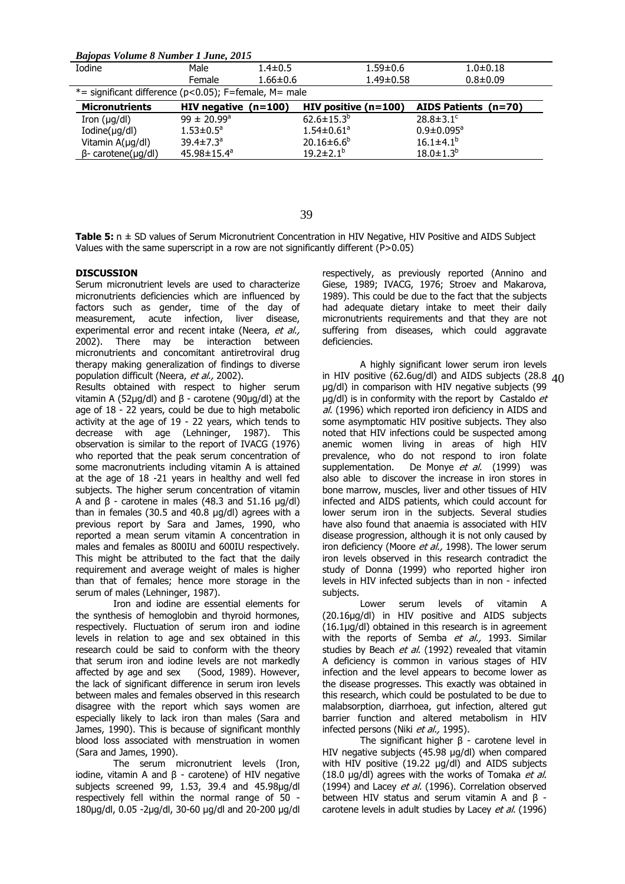*Bajopas Volume 8 Number 1 June, 2015*

| Iodine                                                       | Male                        | $1.4 \pm 0.5$      | $1.59 + 0.6$           | $1.0 + 0.18$                |  |
|--------------------------------------------------------------|-----------------------------|--------------------|------------------------|-----------------------------|--|
|                                                              | Female                      | $1.66 \pm 0.6$     | $1.49 \pm 0.58$        | $0.8 + 0.09$                |  |
| $*$ = significant difference ( $p$ <0.05); F=female, M= male |                             |                    |                        |                             |  |
| <b>Micronutrients</b>                                        | HIV negative $(n=100)$      |                    | HIV positive $(n=100)$ | AIDS Patients (n=70)        |  |
| Iron $(\mu q/d)$                                             | $99 \pm 20.99^{\circ}$      | $62.6 \pm 15.3^b$  |                        | $28.8 \pm 3.1$ <sup>c</sup> |  |
| $Iodine(\mu g/dl)$                                           | $1.53 \pm 0.5^a$            | $1.54 \pm 0.61^a$  |                        | $0.9 \pm 0.095^{\circ}$     |  |
| Vitamin A(µg/dl)                                             | 39.4 $\pm$ 7.3 <sup>a</sup> | $20.16 \pm 6.6^b$  |                        | $16.1 \pm 4.1^{b}$          |  |
| $\beta$ - carotene( $\mu$ g/dl)                              | $45.98 \pm 15.4^a$          | $19.2 \pm 2.1^{b}$ |                        | $18.0 \pm 1.3^{b}$          |  |
|                                                              |                             |                    |                        |                             |  |

Table 5:  $n \pm SD$  values of Serum Micronutrient Concentration in HIV Negative, HIV Positive and AIDS Subject Values with the same superscript in a row are not significantly different (P>0.05)

# **DISCUSSION**

Serum micronutrient levels are used to characterize micronutrients deficiencies which are influenced by factors such as gender, time of the day of measurement, acute infection, liver disease, experimental error and recent intake (Neera, et al., 2002). There may be interaction between micronutrients and concomitant antiretroviral drug therapy making generalization of findings to diverse population difficult (Neera, et al., 2002).

Results obtained with respect to higher serum vitamin A (52µg/dl) and β - carotene (90µg/dl) at the age of 18 - 22 years, could be due to high metabolic activity at the age of 19 - 22 years, which tends to decrease with age (Lehninger, 1987). This observation is similar to the report of IVACG (1976) who reported that the peak serum concentration of some macronutrients including vitamin A is attained at the age of 18 -21 years in healthy and well fed subjects. The higher serum concentration of vitamin A and β - carotene in males (48.3 and 51.16 µg/dl) than in females (30.5 and 40.8 µg/dl) agrees with a previous report by Sara and James, 1990, who reported a mean serum vitamin A concentration in males and females as 800IU and 600IU respectively. This might be attributed to the fact that the daily requirement and average weight of males is higher than that of females; hence more storage in the serum of males (Lehninger, 1987).

Iron and iodine are essential elements for the synthesis of hemoglobin and thyroid hormones, respectively. Fluctuation of serum iron and iodine levels in relation to age and sex obtained in this research could be said to conform with the theory that serum iron and iodine levels are not markedly affected by age and sex (Sood, 1989). However, the lack of significant difference in serum iron levels between males and females observed in this research disagree with the report which says women are especially likely to lack iron than males (Sara and James, 1990). This is because of significant monthly blood loss associated with menstruation in women (Sara and James, 1990).

The serum micronutrient levels (Iron, iodine, vitamin A and β - carotene) of HIV negative subjects screened 99, 1.53, 39.4 and 45.98µg/dl respectively fell within the normal range of 50 - 180µg/dl, 0.05 -2µg/dl, 30-60 µg/dl and 20-200 µg/dl respectively, as previously reported (Annino and Giese, 1989; IVACG, 1976; Stroev and Makarova, 1989). This could be due to the fact that the subjects had adequate dietary intake to meet their daily micronutrients requirements and that they are not suffering from diseases, which could aggravate deficiencies.

A highly significant lower serum iron levels in HIV positive (62.6ug/dl) and AIDS subjects (28.8 40µg/dl) in comparison with HIV negative subjects (99  $\mu$ g/dl) is in conformity with the report by Castaldo  $et$ al. (1996) which reported iron deficiency in AIDS and some asymptomatic HIV positive subjects. They also noted that HIV infections could be suspected among anemic women living in areas of high HIV prevalence, who do not respond to iron folate supplementation. De Monye et al. (1999) was also able to discover the increase in iron stores in bone marrow, muscles, liver and other tissues of HIV infected and AIDS patients, which could account for lower serum iron in the subjects. Several studies have also found that anaemia is associated with HIV disease progression, although it is not only caused by iron deficiency (Moore et al., 1998). The lower serum iron levels observed in this research contradict the study of Donna (1999) who reported higher iron levels in HIV infected subjects than in non - infected subjects.

Lower serum levels of vitamin A (20.16µg/dl) in HIV positive and AIDS subjects (16.1µg/dl) obtained in this research is in agreement with the reports of Semba et al., 1993. Similar studies by Beach et al. (1992) revealed that vitamin A deficiency is common in various stages of HIV infection and the level appears to become lower as the disease progresses. This exactly was obtained in this research, which could be postulated to be due to malabsorption, diarrhoea, gut infection, altered gut barrier function and altered metabolism in HIV infected persons (Niki et al., 1995).

The significant higher  $\beta$  - carotene level in HIV negative subjects (45.98 µg/dl) when compared with HIV positive (19.22 µg/dl) and AIDS subjects (18.0  $\mu$ g/dl) agrees with the works of Tomaka et al. (1994) and Lacey et al. (1996). Correlation observed between HIV status and serum vitamin A and β carotene levels in adult studies by Lacey et al. (1996)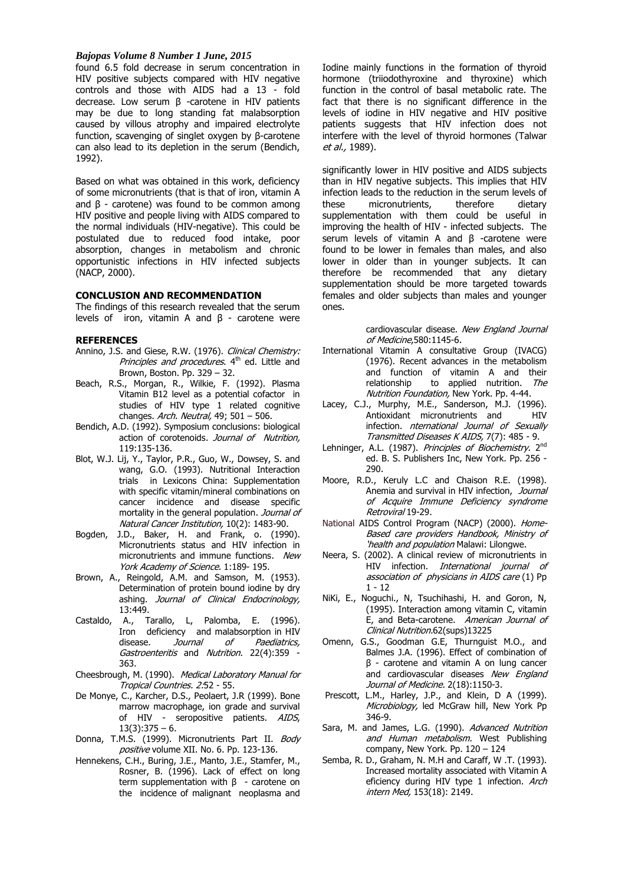found 6.5 fold decrease in serum concentration in HIV positive subjects compared with HIV negative controls and those with AIDS had a 13 - fold decrease. Low serum β -carotene in HIV patients may be due to long standing fat malabsorption caused by villous atrophy and impaired electrolyte function, scavenging of singlet oxygen by β-carotene can also lead to its depletion in the serum (Bendich, 1992).

Based on what was obtained in this work, deficiency of some micronutrients (that is that of iron, vitamin A and  $β$  - carotene) was found to be common among HIV positive and people living with AIDS compared to the normal individuals (HIV-negative). This could be postulated due to reduced food intake, poor absorption, changes in metabolism and chronic opportunistic infections in HIV infected subjects (NACP, 2000).

## **CONCLUSION AND RECOMMENDATION**

The findings of this research revealed that the serum levels of iron, vitamin A and  $β$  - carotene were

# **REFERENCES**

- Annino, J.S. and Giese, R.W. (1976). Clinical Chemistry: Principles and procedures. 4<sup>th</sup> ed. Little and Brown, Boston. Pp. 329 – 32.
- Beach, R.S., Morgan, R., Wilkie, F. (1992). Plasma Vitamin B12 level as a potential cofactor in studies of HIV type 1 related cognitive changes. Arch. Neutral, 49;  $501 - 506$ .
- Bendich, A.D. (1992). Symposium conclusions: biological action of corotenoids. Journal of Nutrition, 119:135-136.
- Blot, W.J. Lij, Y., Taylor, P.R., Guo, W., Dowsey, S. and wang, G.O. (1993). Nutritional Interaction trials in Lexicons China: Supplementation with specific vitamin/mineral combinations on cancer incidence and disease specific mortality in the general population. Journal of Natural Cancer Institution, 10(2): 1483-90.
- Bogden, J.D., Baker, H. and Frank, o. (1990). Micronutrients status and HIV infection in micronutrients and immune functions. New York Academy of Science. 1:189-195.
- Brown, A., Reingold, A.M. and Samson, M. (1953). Determination of protein bound iodine by dry ashing. Journal of Clinical Endocrinology, 13:449.
- Castaldo, A., Tarallo, L, Palomba, E. (1996). Iron deficiency and malabsorption in HIV disease. *Journal of Paediatrics*, Gastroenteritis and Nutrition. 22(4):359 -363.
- Cheesbrough, M. (1990). Medical Laboratory Manual for Tropical Countries. 2:52 - 55.
- De Monye, C., Karcher, D.S., Peolaert, J.R (1999). Bone marrow macrophage, ion grade and survival of HIV - seropositive patients. AIDS,  $13(3):375 - 6.$
- Donna, T.M.S. (1999). Micronutrients Part II. Body positive volume XII. No. 6. Pp. 123-136.
- Hennekens, C.H., Buring, J.E., Manto, J.E., Stamfer, M., Rosner, B. (1996). Lack of effect on long term supplementation with  $β -$  carotene on the incidence of malignant neoplasma and

Iodine mainly functions in the formation of thyroid hormone (triiodothyroxine and thyroxine) which function in the control of basal metabolic rate. The fact that there is no significant difference in the levels of iodine in HIV negative and HIV positive patients suggests that HIV infection does not interfere with the level of thyroid hormones (Talwar et al., 1989).

significantly lower in HIV positive and AIDS subjects than in HIV negative subjects. This implies that HIV infection leads to the reduction in the serum levels of these micronutrients, therefore dietary supplementation with them could be useful in improving the health of HIV - infected subjects. The serum levels of vitamin A and β -carotene were found to be lower in females than males, and also lower in older than in younger subjects. It can therefore be recommended that any dietary supplementation should be more targeted towards females and older subjects than males and younger ones.

> cardiovascular disease. New England Journal of Medicine,580:1145-6.

- International Vitamin A consultative Group (IVACG) (1976). Recent advances in the metabolism and function of vitamin A and their relationship to applied nutrition. The Nutrition Foundation, New York. Pp. 4-44.
- Lacey, C.J., Murphy, M.E., Sanderson, M.J. (1996). Antioxidant micronutrients and HIV infection. nternational Journal of Sexually Transmitted Diseases K AIDS, 7(7): 485 - 9.
- Lehninger, A.L. (1987). Principles of Biochemistry. 2<sup>nd</sup> ed. B. S. Publishers Inc, New York. Pp. 256 - 290.
- Moore, R.D., Keruly L.C and Chaison R.E. (1998). Anemia and survival in HIV infection, Journal of Acquire Immune Deficiency syndrome Retroviral 19-29.
- National AIDS Control Program (NACP) (2000). Home-Based care providers Handbook, Ministry of 'health and population Malawi: Lilongwe.
- Neera, S. (2002). A clinical review of micronutrients in HIV infection. International journal of association of physicians in AIDS care (1) Pp  $1 - 12$
- NiKi, E., Noguchi., N, Tsuchihashi, H. and Goron, N, (1995). Interaction among vitamin C, vitamin E, and Beta-carotene. American Journal of Clinical Nutrition.62(sups)13225
- Omenn, G.S., Goodman G.E, Thurnguist M.O., and Balmes J.A. (1996). Effect of combination of β - carotene and vitamin A on lung cancer and cardiovascular diseases New England Journal of Medicine. 2(18):1150-3.
- Prescott, L.M., Harley, J.P., and Klein, D A (1999). Microbiology, led McGraw hill, New York Pp 346-9.
- Sara, M. and James, L.G. (1990). Advanced Nutrition and Human metabolism. West Publishing company, New York. Pp. 120 – 124
- Semba, R. D., Graham, N. M.H and Caraff, W .T. (1993). Increased mortality associated with Vitamin A eficiency during HIV type 1 infection. Arch intern Med, 153(18): 2149.